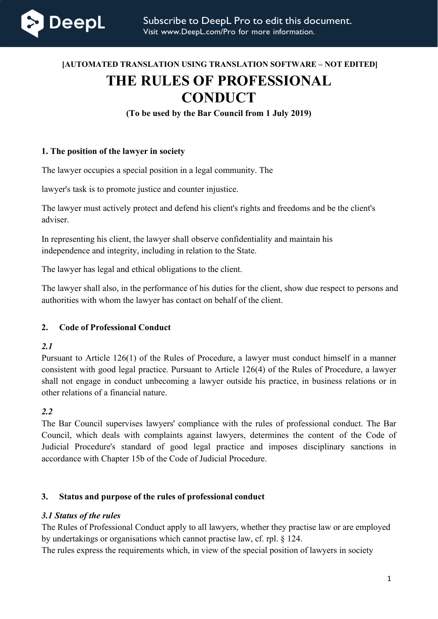

# **[AUTOMATED TRANSLATION USING TRANSLATION SOFTWARE – NOT EDITED] THE RULES OF PROFESSIONAL CONDUCT**

**(To be used by the Bar Council from 1 July 2019)**

#### **1. The position of the lawyer in society**

The lawyer occupies a special position in a legal community. The

lawyer's task is to promote justice and counter injustice.

The lawyer must actively protect and defend his client's rights and freedoms and be the client's adviser.

In representing his client, the lawyer shall observe confidentiality and maintain his independence and integrity, including in relation to the State.

The lawyer has legal and ethical obligations to the client.

The lawyer shall also, in the performance of his duties for the client, show due respect to persons and authorities with whom the lawyer has contact on behalf of the client.

# **2. Code of Professional Conduct**

# *2.1*

Pursuant to Article 126(1) of the Rules of Procedure, a lawyer must conduct himself in a manner consistent with good legal practice. Pursuant to Article 126(4) of the Rules of Procedure, a lawyer shall not engage in conduct unbecoming a lawyer outside his practice, in business relations or in other relations of a financial nature.

#### *2.2*

The Bar Council supervises lawyers' compliance with the rules of professional conduct. The Bar Council, which deals with complaints against lawyers, determines the content of the Code of Judicial Procedure's standard of good legal practice and imposes disciplinary sanctions in accordance with Chapter 15b of the Code of Judicial Procedure.

# **3. Status and purpose of the rules of professional conduct**

#### *3.1 Status of the rules*

The Rules of Professional Conduct apply to all lawyers, whether they practise law or are employed by undertakings or organisations which cannot practise law, cf. rpl. § 124.

The rules express the requirements which, in view of the special position of lawyers in society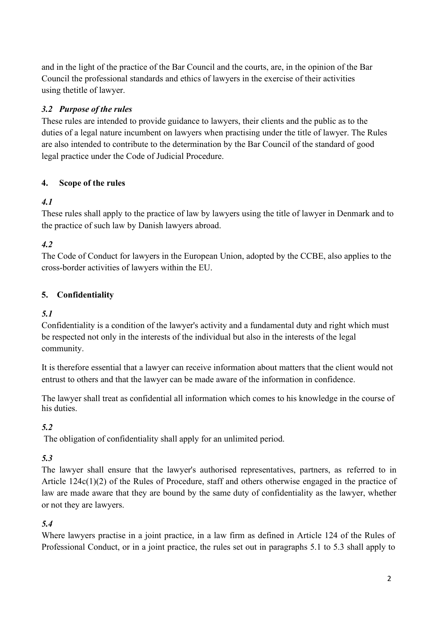and in the light of the practice of the Bar Council and the courts, are, in the opinion of the Bar Council the professional standards and ethics of lawyers in the exercise of their activities using thetitle of lawyer.

# *3.2 Purpose of the rules*

These rules are intended to provide guidance to lawyers, their clients and the public as to the duties of a legal nature incumbent on lawyers when practising under the title of lawyer. The Rules are also intended to contribute to the determination by the Bar Council of the standard of good legal practice under the Code of Judicial Procedure.

# **4. Scope of the rules**

# *4.1*

These rules shall apply to the practice of law by lawyers using the title of lawyer in Denmark and to the practice of such law by Danish lawyers abroad.

# *4.2*

The Code of Conduct for lawyers in the European Union, adopted by the CCBE, also applies to the cross-border activities of lawyers within the EU.

# **5. Confidentiality**

# *5.1*

Confidentiality is a condition of the lawyer's activity and a fundamental duty and right which must be respected not only in the interests of the individual but also in the interests of the legal community.

It is therefore essential that a lawyer can receive information about matters that the client would not entrust to others and that the lawyer can be made aware of the information in confidence.

The lawyer shall treat as confidential all information which comes to his knowledge in the course of his duties.

# *5.2*

The obligation of confidentiality shall apply for an unlimited period.

# *5.3*

The lawyer shall ensure that the lawyer's authorised representatives, partners, as referred to in Article 124c(1)(2) of the Rules of Procedure, staff and others otherwise engaged in the practice of law are made aware that they are bound by the same duty of confidentiality as the lawyer, whether or not they are lawyers.

# *5.4*

Where lawyers practise in a joint practice, in a law firm as defined in Article 124 of the Rules of Professional Conduct, or in a joint practice, the rules set out in paragraphs 5.1 to 5.3 shall apply to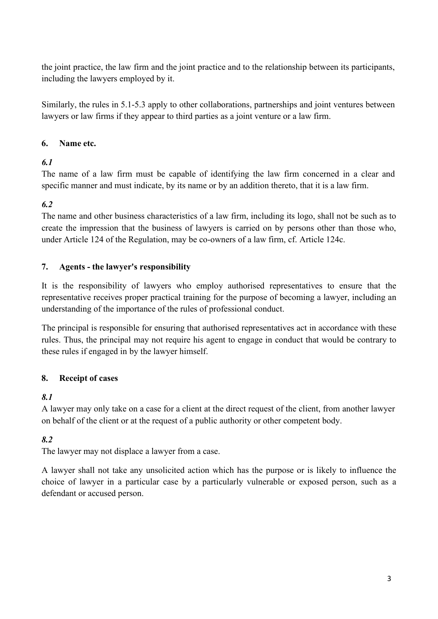the joint practice, the law firm and the joint practice and to the relationship between its participants, including the lawyers employed by it.

Similarly, the rules in 5.1-5.3 apply to other collaborations, partnerships and joint ventures between lawyers or law firms if they appear to third parties as a joint venture or a law firm.

# **6. Name etc.**

# *6.1*

The name of a law firm must be capable of identifying the law firm concerned in a clear and specific manner and must indicate, by its name or by an addition thereto, that it is a law firm.

# *6.2*

The name and other business characteristics of a law firm, including its logo, shall not be such as to create the impression that the business of lawyers is carried on by persons other than those who, under Article 124 of the Regulation, may be co-owners of a law firm, cf. Article 124c.

# **7. Agents - the lawyer's responsibility**

It is the responsibility of lawyers who employ authorised representatives to ensure that the representative receives proper practical training for the purpose of becoming a lawyer, including an understanding of the importance of the rules of professional conduct.

The principal is responsible for ensuring that authorised representatives act in accordance with these rules. Thus, the principal may not require his agent to engage in conduct that would be contrary to these rules if engaged in by the lawyer himself.

# **8. Receipt of cases**

# *8.1*

A lawyer may only take on a case for a client at the direct request of the client, from another lawyer on behalf of the client or at the request of a public authority or other competent body.

# *8.2*

The lawyer may not displace a lawyer from a case.

A lawyer shall not take any unsolicited action which has the purpose or is likely to influence the choice of lawyer in a particular case by a particularly vulnerable or exposed person, such as a defendant or accused person.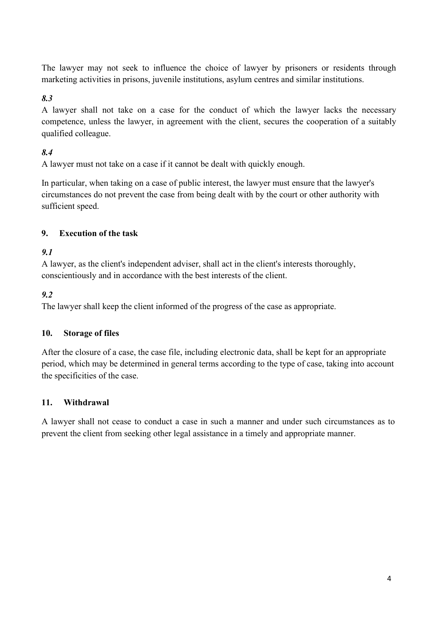The lawyer may not seek to influence the choice of lawyer by prisoners or residents through marketing activities in prisons, juvenile institutions, asylum centres and similar institutions.

# *8.3*

A lawyer shall not take on a case for the conduct of which the lawyer lacks the necessary competence, unless the lawyer, in agreement with the client, secures the cooperation of a suitably qualified colleague.

# *8.4*

A lawyer must not take on a case if it cannot be dealt with quickly enough.

In particular, when taking on a case of public interest, the lawyer must ensure that the lawyer's circumstances do not prevent the case from being dealt with by the court or other authority with sufficient speed.

#### **9. Execution of the task**

# *9.1*

A lawyer, as the client's independent adviser, shall act in the client's interests thoroughly, conscientiously and in accordance with the best interests of the client.

# *9.2*

The lawyer shall keep the client informed of the progress of the case as appropriate.

# **10. Storage of files**

After the closure of a case, the case file, including electronic data, shall be kept for an appropriate period, which may be determined in general terms according to the type of case, taking into account the specificities of the case.

# **11. Withdrawal**

A lawyer shall not cease to conduct a case in such a manner and under such circumstances as to prevent the client from seeking other legal assistance in a timely and appropriate manner.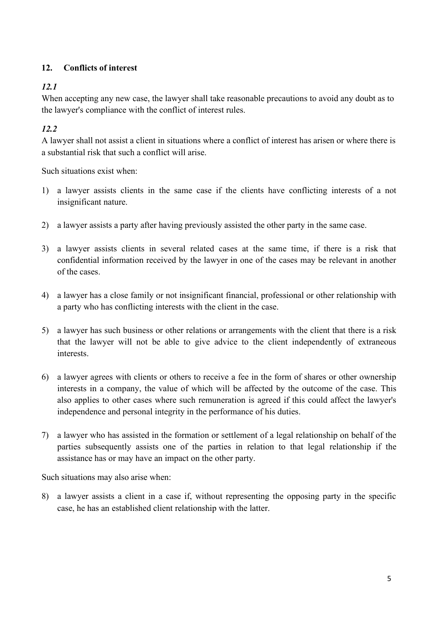# **12. Conflicts of interest**

# *12.1*

When accepting any new case, the lawyer shall take reasonable precautions to avoid any doubt as to the lawyer's compliance with the conflict of interest rules.

# *12.2*

A lawyer shall not assist a client in situations where a conflict of interest has arisen or where there is a substantial risk that such a conflict will arise.

Such situations exist when:

- 1) a lawyer assists clients in the same case if the clients have conflicting interests of a not insignificant nature.
- 2) a lawyer assists a party after having previously assisted the other party in the same case.
- 3) a lawyer assists clients in several related cases at the same time, if there is a risk that confidential information received by the lawyer in one of the cases may be relevant in another of the cases.
- 4) a lawyer has a close family or not insignificant financial, professional or other relationship with a party who has conflicting interests with the client in the case.
- 5) a lawyer has such business or other relations or arrangements with the client that there is a risk that the lawyer will not be able to give advice to the client independently of extraneous interests.
- 6) a lawyer agrees with clients or others to receive a fee in the form of shares or other ownership interests in a company, the value of which will be affected by the outcome of the case. This also applies to other cases where such remuneration is agreed if this could affect the lawyer's independence and personal integrity in the performance of his duties.
- 7) a lawyer who has assisted in the formation or settlement of a legal relationship on behalf of the parties subsequently assists one of the parties in relation to that legal relationship if the assistance has or may have an impact on the other party.

Such situations may also arise when:

8) a lawyer assists a client in a case if, without representing the opposing party in the specific case, he has an established client relationship with the latter.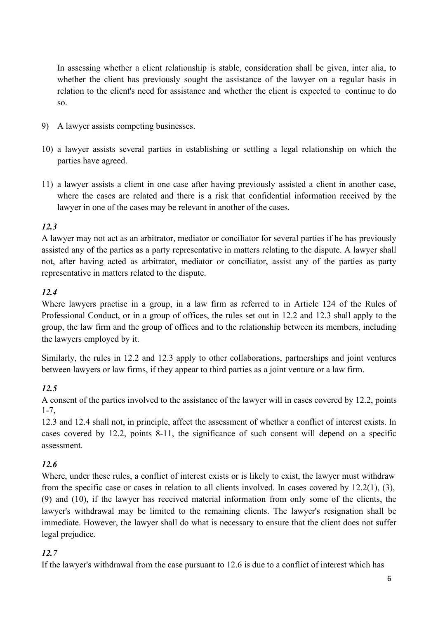In assessing whether a client relationship is stable, consideration shall be given, inter alia, to whether the client has previously sought the assistance of the lawyer on a regular basis in relation to the client's need for assistance and whether the client is expected to continue to do so.

- 9) A lawyer assists competing businesses.
- 10) a lawyer assists several parties in establishing or settling a legal relationship on which the parties have agreed.
- 11) a lawyer assists a client in one case after having previously assisted a client in another case, where the cases are related and there is a risk that confidential information received by the lawyer in one of the cases may be relevant in another of the cases.

#### *12.3*

A lawyer may not act as an arbitrator, mediator or conciliator for several parties if he has previously assisted any of the parties as a party representative in matters relating to the dispute. A lawyer shall not, after having acted as arbitrator, mediator or conciliator, assist any of the parties as party representative in matters related to the dispute.

#### *12.4*

Where lawyers practise in a group, in a law firm as referred to in Article 124 of the Rules of Professional Conduct, or in a group of offices, the rules set out in 12.2 and 12.3 shall apply to the group, the law firm and the group of offices and to the relationship between its members, including the lawyers employed by it.

Similarly, the rules in 12.2 and 12.3 apply to other collaborations, partnerships and joint ventures between lawyers or law firms, if they appear to third parties as a joint venture or a law firm.

# *12.5*

A consent of the parties involved to the assistance of the lawyer will in cases covered by 12.2, points 1-7,

12.3 and 12.4 shall not, in principle, affect the assessment of whether a conflict of interest exists. In cases covered by 12.2, points 8-11, the significance of such consent will depend on a specific assessment.

# *12.6*

Where, under these rules, a conflict of interest exists or is likely to exist, the lawyer must withdraw from the specific case or cases in relation to all clients involved. In cases covered by 12.2(1), (3), (9) and (10), if the lawyer has received material information from only some of the clients, the lawyer's withdrawal may be limited to the remaining clients. The lawyer's resignation shall be immediate. However, the lawyer shall do what is necessary to ensure that the client does not suffer legal prejudice.

# *12.7*

If the lawyer's withdrawal from the case pursuant to 12.6 is due to a conflict of interest which has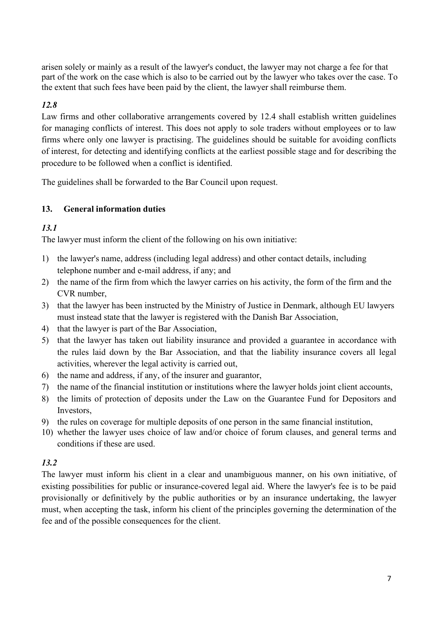arisen solely or mainly as a result of the lawyer's conduct, the lawyer may not charge a fee for that part of the work on the case which is also to be carried out by the lawyer who takes over the case. To the extent that such fees have been paid by the client, the lawyer shall reimburse them.

# *12.8*

Law firms and other collaborative arrangements covered by 12.4 shall establish written guidelines for managing conflicts of interest. This does not apply to sole traders without employees or to law firms where only one lawyer is practising. The guidelines should be suitable for avoiding conflicts of interest, for detecting and identifying conflicts at the earliest possible stage and for describing the procedure to be followed when a conflict is identified.

The guidelines shall be forwarded to the Bar Council upon request.

# **13. General information duties**

# *13.1*

The lawyer must inform the client of the following on his own initiative:

- 1) the lawyer's name, address (including legal address) and other contact details, including telephone number and e-mail address, if any; and
- 2) the name of the firm from which the lawyer carries on his activity, the form of the firm and the CVR number,
- 3) that the lawyer has been instructed by the Ministry of Justice in Denmark, although EU lawyers must instead state that the lawyer is registered with the Danish Bar Association,
- 4) that the lawyer is part of the Bar Association,
- 5) that the lawyer has taken out liability insurance and provided a guarantee in accordance with the rules laid down by the Bar Association, and that the liability insurance covers all legal activities, wherever the legal activity is carried out,
- 6) the name and address, if any, of the insurer and guarantor,
- 7) the name of the financial institution or institutions where the lawyer holds joint client accounts,
- 8) the limits of protection of deposits under the Law on the Guarantee Fund for Depositors and Investors,
- 9) the rules on coverage for multiple deposits of one person in the same financial institution,
- 10) whether the lawyer uses choice of law and/or choice of forum clauses, and general terms and conditions if these are used.

# *13.2*

The lawyer must inform his client in a clear and unambiguous manner, on his own initiative, of existing possibilities for public or insurance-covered legal aid. Where the lawyer's fee is to be paid provisionally or definitively by the public authorities or by an insurance undertaking, the lawyer must, when accepting the task, inform his client of the principles governing the determination of the fee and of the possible consequences for the client.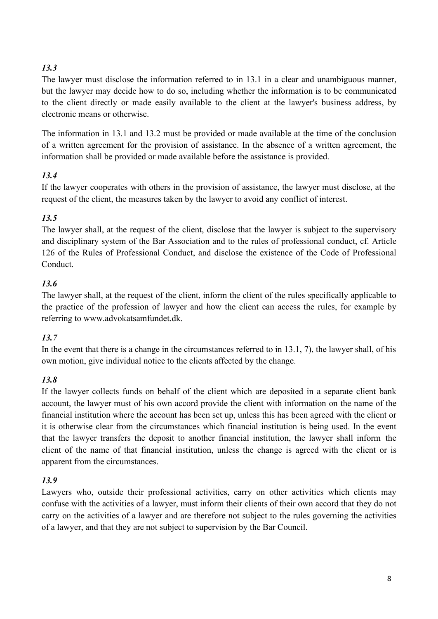# *13.3*

The lawyer must disclose the information referred to in 13.1 in a clear and unambiguous manner, but the lawyer may decide how to do so, including whether the information is to be communicated to the client directly or made easily available to the client at the lawyer's business address, by electronic means or otherwise.

The information in 13.1 and 13.2 must be provided or made available at the time of the conclusion of a written agreement for the provision of assistance. In the absence of a written agreement, the information shall be provided or made available before the assistance is provided.

# *13.4*

If the lawyer cooperates with others in the provision of assistance, the lawyer must disclose, at the request of the client, the measures taken by the lawyer to avoid any conflict of interest.

# *13.5*

The lawyer shall, at the request of the client, disclose that the lawyer is subject to the supervisory and disciplinary system of the Bar Association and to the rules of professional conduct, cf. Article 126 of the Rules of Professional Conduct, and disclose the existence of the Code of Professional Conduct.

# *13.6*

The lawyer shall, at the request of the client, inform the client of the rules specifically applicable to the practice of the profession of lawyer and how the client can access the rules, for example by referring to [www.advokatsamfundet.dk.](http://www.advokatsamfundet.dk/)

# *13.7*

In the event that there is a change in the circumstances referred to in 13.1, 7), the lawyer shall, of his own motion, give individual notice to the clients affected by the change.

# *13.8*

If the lawyer collects funds on behalf of the client which are deposited in a separate client bank account, the lawyer must of his own accord provide the client with information on the name of the financial institution where the account has been set up, unless this has been agreed with the client or it is otherwise clear from the circumstances which financial institution is being used. In the event that the lawyer transfers the deposit to another financial institution, the lawyer shall inform the client of the name of that financial institution, unless the change is agreed with the client or is apparent from the circumstances.

# *13.9*

Lawyers who, outside their professional activities, carry on other activities which clients may confuse with the activities of a lawyer, must inform their clients of their own accord that they do not carry on the activities of a lawyer and are therefore not subject to the rules governing the activities of a lawyer, and that they are not subject to supervision by the Bar Council.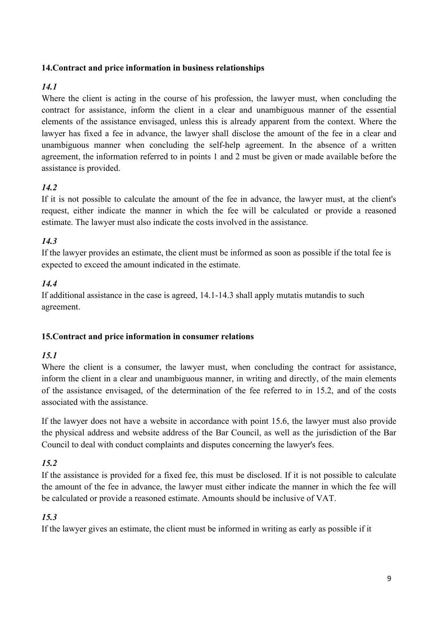#### **14.Contract and price information in business relationships**

#### *14.1*

Where the client is acting in the course of his profession, the lawyer must, when concluding the contract for assistance, inform the client in a clear and unambiguous manner of the essential elements of the assistance envisaged, unless this is already apparent from the context. Where the lawyer has fixed a fee in advance, the lawyer shall disclose the amount of the fee in a clear and unambiguous manner when concluding the self-help agreement. In the absence of a written agreement, the information referred to in points 1 and 2 must be given or made available before the assistance is provided.

# *14.2*

If it is not possible to calculate the amount of the fee in advance, the lawyer must, at the client's request, either indicate the manner in which the fee will be calculated or provide a reasoned estimate. The lawyer must also indicate the costs involved in the assistance.

#### *14.3*

If the lawyer provides an estimate, the client must be informed as soon as possible if the total fee is expected to exceed the amount indicated in the estimate.

#### *14.4*

If additional assistance in the case is agreed, 14.1-14.3 shall apply mutatis mutandis to such agreement.

#### **15.Contract and price information in consumer relations**

#### *15.1*

Where the client is a consumer, the lawyer must, when concluding the contract for assistance, inform the client in a clear and unambiguous manner, in writing and directly, of the main elements of the assistance envisaged, of the determination of the fee referred to in 15.2, and of the costs associated with the assistance.

If the lawyer does not have a website in accordance with point 15.6, the lawyer must also provide the physical address and website address of the Bar Council, as well as the jurisdiction of the Bar Council to deal with conduct complaints and disputes concerning the lawyer's fees.

# *15.2*

If the assistance is provided for a fixed fee, this must be disclosed. If it is not possible to calculate the amount of the fee in advance, the lawyer must either indicate the manner in which the fee will be calculated or provide a reasoned estimate. Amounts should be inclusive of VAT.

#### *15.3*

If the lawyer gives an estimate, the client must be informed in writing as early as possible if it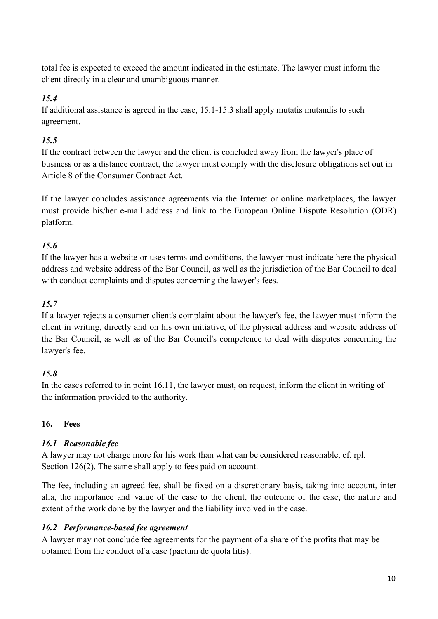total fee is expected to exceed the amount indicated in the estimate. The lawyer must inform the client directly in a clear and unambiguous manner.

# *15.4*

If additional assistance is agreed in the case, 15.1-15.3 shall apply mutatis mutandis to such agreement.

# *15.5*

If the contract between the lawyer and the client is concluded away from the lawyer's place of business or as a distance contract, the lawyer must comply with the disclosure obligations set out in Article 8 of the Consumer Contract Act.

If the lawyer concludes assistance agreements via the Internet or online marketplaces, the lawyer must provide his/her e-mail address and link to the European Online Dispute Resolution (ODR) platform.

# *15.6*

If the lawyer has a website or uses terms and conditions, the lawyer must indicate here the physical address and website address of the Bar Council, as well as the jurisdiction of the Bar Council to deal with conduct complaints and disputes concerning the lawyer's fees.

# *15.7*

If a lawyer rejects a consumer client's complaint about the lawyer's fee, the lawyer must inform the client in writing, directly and on his own initiative, of the physical address and website address of the Bar Council, as well as of the Bar Council's competence to deal with disputes concerning the lawyer's fee.

# *15.8*

In the cases referred to in point 16.11, the lawyer must, on request, inform the client in writing of the information provided to the authority.

# **16. Fees**

# *16.1 Reasonable fee*

A lawyer may not charge more for his work than what can be considered reasonable, cf. rpl. Section 126(2). The same shall apply to fees paid on account.

The fee, including an agreed fee, shall be fixed on a discretionary basis, taking into account, inter alia, the importance and value of the case to the client, the outcome of the case, the nature and extent of the work done by the lawyer and the liability involved in the case.

# *16.2 Performance-based fee agreement*

A lawyer may not conclude fee agreements for the payment of a share of the profits that may be obtained from the conduct of a case (pactum de quota litis).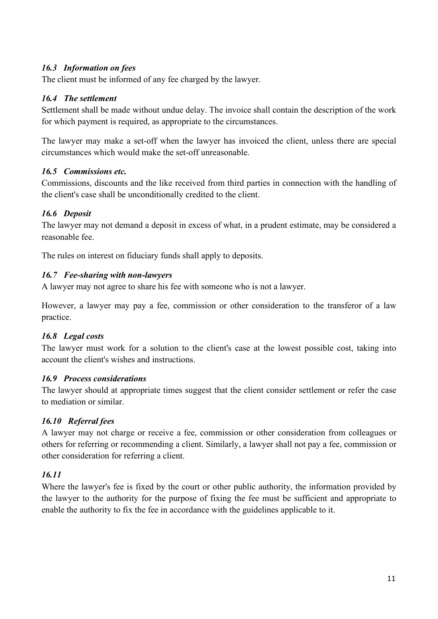#### *16.3 Information on fees*

The client must be informed of any fee charged by the lawyer.

#### *16.4 The settlement*

Settlement shall be made without undue delay. The invoice shall contain the description of the work for which payment is required, as appropriate to the circumstances.

The lawyer may make a set-off when the lawyer has invoiced the client, unless there are special circumstances which would make the set-off unreasonable.

#### *16.5 Commissions etc.*

Commissions, discounts and the like received from third parties in connection with the handling of the client's case shall be unconditionally credited to the client.

#### *16.6 Deposit*

The lawyer may not demand a deposit in excess of what, in a prudent estimate, may be considered a reasonable fee.

The rules on interest on fiduciary funds shall apply to deposits.

#### *16.7 Fee-sharing with non-lawyers*

A lawyer may not agree to share his fee with someone who is not a lawyer.

However, a lawyer may pay a fee, commission or other consideration to the transferor of a law practice.

#### *16.8 Legal costs*

The lawyer must work for a solution to the client's case at the lowest possible cost, taking into account the client's wishes and instructions.

#### *16.9 Process considerations*

The lawyer should at appropriate times suggest that the client consider settlement or refer the case to mediation or similar.

# *16.10 Referral fees*

A lawyer may not charge or receive a fee, commission or other consideration from colleagues or others for referring or recommending a client. Similarly, a lawyer shall not pay a fee, commission or other consideration for referring a client.

#### *16.11*

Where the lawyer's fee is fixed by the court or other public authority, the information provided by the lawyer to the authority for the purpose of fixing the fee must be sufficient and appropriate to enable the authority to fix the fee in accordance with the guidelines applicable to it.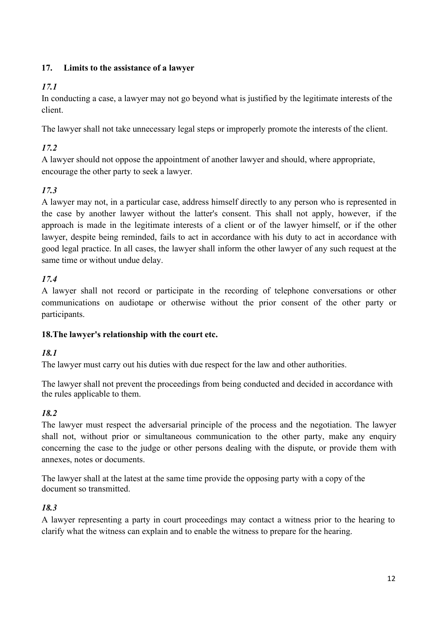# **17. Limits to the assistance of a lawyer**

# *17.1*

In conducting a case, a lawyer may not go beyond what is justified by the legitimate interests of the client.

The lawyer shall not take unnecessary legal steps or improperly promote the interests of the client.

# *17.2*

A lawyer should not oppose the appointment of another lawyer and should, where appropriate, encourage the other party to seek a lawyer.

# *17.3*

A lawyer may not, in a particular case, address himself directly to any person who is represented in the case by another lawyer without the latter's consent. This shall not apply, however, if the approach is made in the legitimate interests of a client or of the lawyer himself, or if the other lawyer, despite being reminded, fails to act in accordance with his duty to act in accordance with good legal practice. In all cases, the lawyer shall inform the other lawyer of any such request at the same time or without undue delay.

# *17.4*

A lawyer shall not record or participate in the recording of telephone conversations or other communications on audiotape or otherwise without the prior consent of the other party or participants.

# **18.The lawyer's relationship with the court etc.**

# *18.1*

The lawyer must carry out his duties with due respect for the law and other authorities.

The lawyer shall not prevent the proceedings from being conducted and decided in accordance with the rules applicable to them.

# *18.2*

The lawyer must respect the adversarial principle of the process and the negotiation. The lawyer shall not, without prior or simultaneous communication to the other party, make any enquiry concerning the case to the judge or other persons dealing with the dispute, or provide them with annexes, notes or documents.

The lawyer shall at the latest at the same time provide the opposing party with a copy of the document so transmitted.

# *18.3*

A lawyer representing a party in court proceedings may contact a witness prior to the hearing to clarify what the witness can explain and to enable the witness to prepare for the hearing.